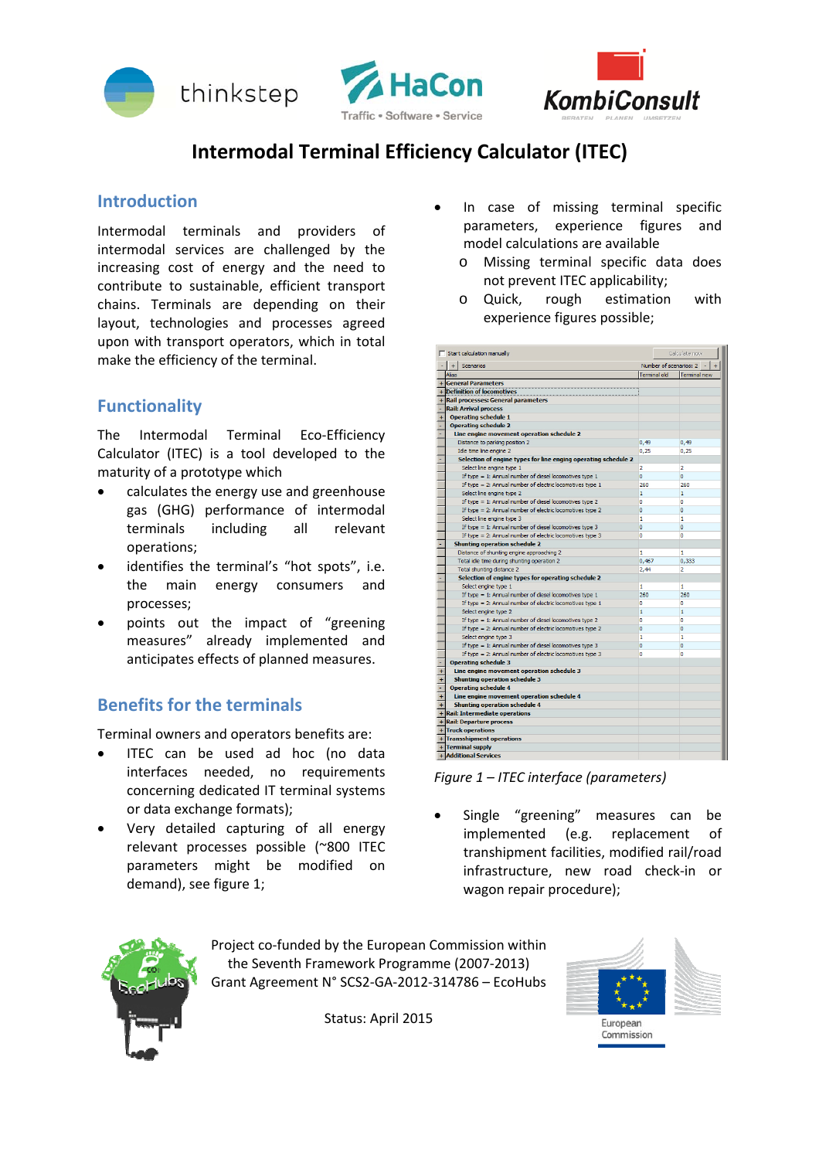





# **Intermodal Terminal Efficiency Calculator (ITEC)**

### **Introduction**

Intermodal terminals and providers of intermodal services are challenged by the increasing cost of energy and the need to contribute to sustainable, efficient transport chains. Terminals are depending on their layout, technologies and processes agreed upon with transport operators, which in total make the efficiency of the terminal.

# **Functionality**

The Intermodal Terminal Eco-Efficiency Calculator (ITEC) is a tool developed to the maturity of a prototype which

- calculates the energy use and greenhouse gas (GHG) performance of intermodal terminals including all relevant operations;
- identifies the terminal's "hot spots", i.e. the main energy consumers and processes;
- points out the impact of "greening measures" already implemented and anticipates effects of planned measures.

# **Benefits for the terminals**

Terminal owners and operators benefits are:

- ITEC can be used ad hoc (no data interfaces needed, no requirements concerning dedicated IT terminal systems or data exchange formats);
- Very detailed capturing of all energy relevant processes possible (~800 ITEC parameters might be modified on demand), see figure 1;
- In case of missing terminal specific parameters, experience figures and model calculations are available
	- o Missing terminal specific data does not prevent ITEC applicability;
	- o Quick, rough estimation with experience figures possible;

|                                 | Start calculation manually                                     | Calculate now          |                     |
|---------------------------------|----------------------------------------------------------------|------------------------|---------------------|
|                                 | $+$<br>Scenarios                                               | Number of scenarios: 2 |                     |
|                                 | <b>Alias</b>                                                   | <b>Terminal old</b>    | <b>Terminal new</b> |
|                                 | + General Parameters                                           |                        |                     |
|                                 | + Definition of locomotives                                    |                        |                     |
|                                 | + Rail processes: General parameters                           |                        |                     |
| ٠                               | <b>Rail: Arrival process</b>                                   |                        |                     |
| $\ddot{}$                       | <b>Operating schedule 1</b>                                    |                        |                     |
|                                 | <b>Operating schedule 2</b>                                    |                        |                     |
|                                 | Line engine movement operation schedule 2                      |                        |                     |
|                                 | Distance to parking position 2                                 | 0,49                   | 0,49                |
|                                 | Idle time line engine 2                                        | 0,25                   | 0,25                |
|                                 | Selection of engine types for line enging operating schedule 2 |                        |                     |
|                                 | Select line engine type 1                                      | $\overline{2}$         | $\overline{2}$      |
|                                 | If type = 1: Annual number of diesel locomotives type 1        | ٥                      | ō                   |
|                                 | If type = 2: Annual number of electric locomotives type $1$    | 260                    | 260                 |
|                                 | Select line engine type 2                                      | 1                      | 1                   |
|                                 | If type = 1: Annual number of diesel locomotives type 2        | ٥                      | n                   |
|                                 | If type = 2: Annual number of electric locomotives type 2      | Ō                      | o                   |
|                                 | Select line engine type 3                                      | 1                      | 1                   |
|                                 | If type = 1: Annual number of diesel locomotives type 3        | ō                      | o                   |
|                                 | If type = 2: Annual number of electric locomotives type 3      | ٥                      | o                   |
|                                 | <b>Shunting operation schedule 2</b>                           |                        |                     |
|                                 | Distance of shunting engine approaching 2                      | 1                      | 1                   |
|                                 | Total idle time during shunting operation 2                    | 0,467                  | 0,333               |
|                                 | Total shunting distance 2                                      | 2,44                   | 2                   |
|                                 | Selection of engine types for operating schedule 2             |                        |                     |
|                                 | Select engine type 1                                           | 1                      | 1                   |
|                                 | If type = 1: Annual number of diesel locomotives type 1        | 260                    | 260                 |
|                                 | If type = 2: Annual number of electric locomotives type $1$    | Ō                      | ٥                   |
|                                 | Select engine type 2                                           | 1                      | 1                   |
|                                 | If type = 1: Annual number of diesel locomotives type 2        | ٥                      | o                   |
|                                 | If type = 2: Annual number of electric locomotives type 2      | Ō                      | o                   |
|                                 | Select engine type 3                                           | 1                      | 1                   |
|                                 | If type = 1: Annual number of diesel locomotives type $3$      | Ō                      | o                   |
|                                 | If type = 2: Annual number of electric locomotives type 3      | ō                      | o                   |
|                                 | <b>Operating schedule 3</b>                                    |                        |                     |
| $\ddot{}$                       | Line engine movement operation schedule 3                      |                        |                     |
| $\ddot{}$                       | <b>Shunting operation schedule 3</b>                           |                        |                     |
| ÷                               | <b>Operating schedule 4</b>                                    |                        |                     |
| $\ddot{}$                       | Line engine movement operation schedule 4                      |                        |                     |
| $\ddot{}$                       | <b>Shunting operation schedule 4</b>                           |                        |                     |
| + Rail: Intermediate operations |                                                                |                        |                     |
|                                 | + Rail: Departure process                                      |                        |                     |
|                                 | + Truck operations                                             |                        |                     |
|                                 | + Transshipment operations                                     |                        |                     |
|                                 | + Terminal supply                                              |                        |                     |
|                                 | + Additional Services                                          |                        |                     |

*Figure 1 – ITEC interface (parameters)*

 Single "greening" measures can be implemented (e.g. replacement of transhipment facilities, modified rail/road infrastructure, new road check‐in or wagon repair procedure);



Project co‐funded by the European Commission within the Seventh Framework Programme (2007‐2013) Grant Agreement N° SCS2‐GA‐2012‐314786 – EcoHubs

Status: April 2015